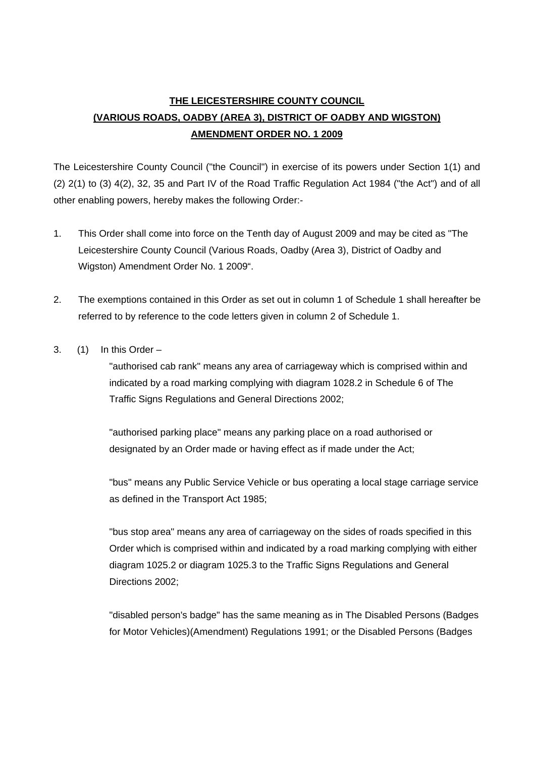# **THE LEICESTERSHIRE COUNTY COUNCIL (VARIOUS ROADS, OADBY (AREA 3), DISTRICT OF OADBY AND WIGSTON) AMENDMENT ORDER NO. 1 2009**

The Leicestershire County Council ("the Council") in exercise of its powers under Section 1(1) and (2) 2(1) to (3) 4(2), 32, 35 and Part IV of the Road Traffic Regulation Act 1984 ("the Act") and of all other enabling powers, hereby makes the following Order:-

- 1. This Order shall come into force on the Tenth day of August 2009 and may be cited as "The Leicestershire County Council (Various Roads, Oadby (Area 3), District of Oadby and Wigston) Amendment Order No. 1 2009".
- 2. The exemptions contained in this Order as set out in column 1 of Schedule 1 shall hereafter be referred to by reference to the code letters given in column 2 of Schedule 1.
- 3.  $(1)$  In this Order –

"authorised cab rank" means any area of carriageway which is comprised within and indicated by a road marking complying with diagram 1028.2 in Schedule 6 of The Traffic Signs Regulations and General Directions 2002;

"authorised parking place" means any parking place on a road authorised or designated by an Order made or having effect as if made under the Act;

"bus" means any Public Service Vehicle or bus operating a local stage carriage service as defined in the Transport Act 1985;

"bus stop area" means any area of carriageway on the sides of roads specified in this Order which is comprised within and indicated by a road marking complying with either diagram 1025.2 or diagram 1025.3 to the Traffic Signs Regulations and General Directions 2002;

"disabled person's badge" has the same meaning as in The Disabled Persons (Badges for Motor Vehicles)(Amendment) Regulations 1991; or the Disabled Persons (Badges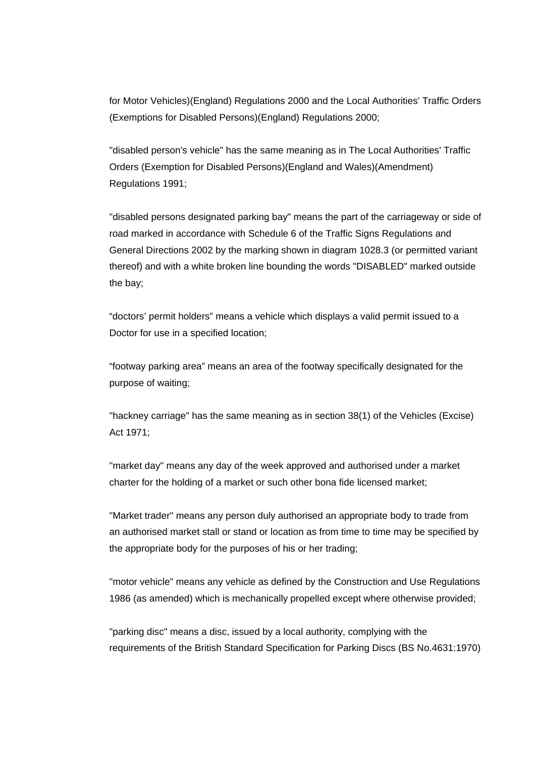for Motor Vehicles)(England) Regulations 2000 and the Local Authorities' Traffic Orders (Exemptions for Disabled Persons)(England) Regulations 2000;

"disabled person's vehicle" has the same meaning as in The Local Authorities' Traffic Orders (Exemption for Disabled Persons)(England and Wales)(Amendment) Regulations 1991;

"disabled persons designated parking bay" means the part of the carriageway or side of road marked in accordance with Schedule 6 of the Traffic Signs Regulations and General Directions 2002 by the marking shown in diagram 1028.3 (or permitted variant thereof) and with a white broken line bounding the words "DISABLED" marked outside the bay;

"doctors' permit holders" means a vehicle which displays a valid permit issued to a Doctor for use in a specified location;

"footway parking area" means an area of the footway specifically designated for the purpose of waiting;

"hackney carriage" has the same meaning as in section 38(1) of the Vehicles (Excise) Act 1971;

"market day" means any day of the week approved and authorised under a market charter for the holding of a market or such other bona fide licensed market;

"Market trader" means any person duly authorised an appropriate body to trade from an authorised market stall or stand or location as from time to time may be specified by the appropriate body for the purposes of his or her trading;

"motor vehicle" means any vehicle as defined by the Construction and Use Regulations 1986 (as amended) which is mechanically propelled except where otherwise provided;

"parking disc" means a disc, issued by a local authority, complying with the requirements of the British Standard Specification for Parking Discs (BS No.4631:1970)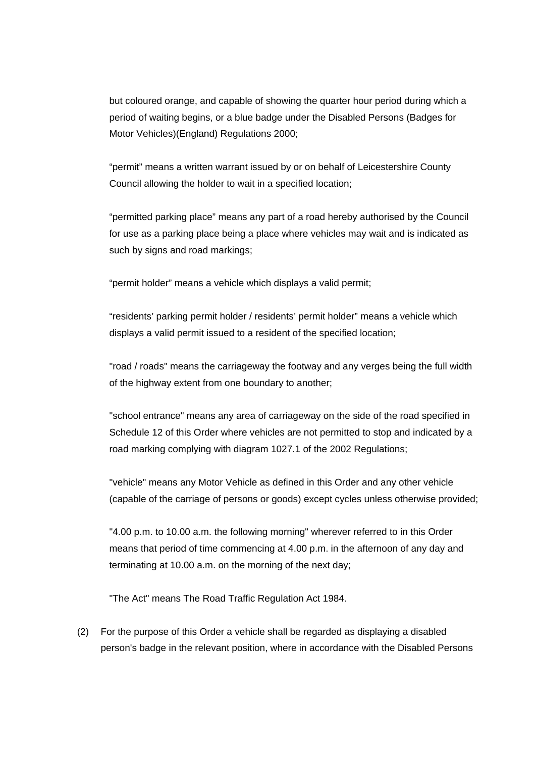but coloured orange, and capable of showing the quarter hour period during which a period of waiting begins, or a blue badge under the Disabled Persons (Badges for Motor Vehicles)(England) Regulations 2000;

"permit" means a written warrant issued by or on behalf of Leicestershire County Council allowing the holder to wait in a specified location;

"permitted parking place" means any part of a road hereby authorised by the Council for use as a parking place being a place where vehicles may wait and is indicated as such by signs and road markings;

"permit holder" means a vehicle which displays a valid permit;

"residents' parking permit holder / residents' permit holder" means a vehicle which displays a valid permit issued to a resident of the specified location;

"road / roads" means the carriageway the footway and any verges being the full width of the highway extent from one boundary to another;

"school entrance" means any area of carriageway on the side of the road specified in Schedule 12 of this Order where vehicles are not permitted to stop and indicated by a road marking complying with diagram 1027.1 of the 2002 Regulations;

"vehicle" means any Motor Vehicle as defined in this Order and any other vehicle (capable of the carriage of persons or goods) except cycles unless otherwise provided;

"4.00 p.m. to 10.00 a.m. the following morning" wherever referred to in this Order means that period of time commencing at 4.00 p.m. in the afternoon of any day and terminating at 10.00 a.m. on the morning of the next day;

"The Act" means The Road Traffic Regulation Act 1984.

(2) For the purpose of this Order a vehicle shall be regarded as displaying a disabled person's badge in the relevant position, where in accordance with the Disabled Persons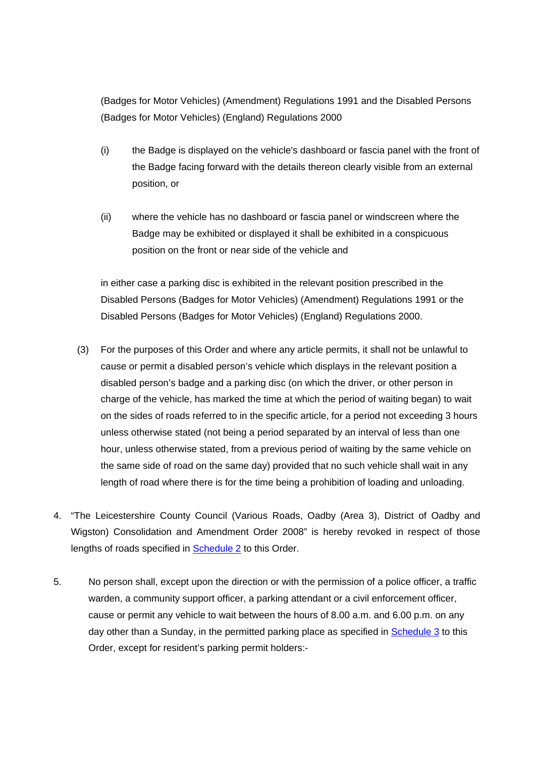(Badges for Motor Vehicles) (Amendment) Regulations 1991 and the Disabled Persons (Badges for Motor Vehicles) (England) Regulations 2000

- (i) the Badge is displayed on the vehicle's dashboard or fascia panel with the front of the Badge facing forward with the details thereon clearly visible from an external position, or
- (ii) where the vehicle has no dashboard or fascia panel or windscreen where the Badge may be exhibited or displayed it shall be exhibited in a conspicuous position on the front or near side of the vehicle and

in either case a parking disc is exhibited in the relevant position prescribed in the Disabled Persons (Badges for Motor Vehicles) (Amendment) Regulations 1991 or the Disabled Persons (Badges for Motor Vehicles) (England) Regulations 2000.

- (3) For the purposes of this Order and where any article permits, it shall not be unlawful to cause or permit a disabled person's vehicle which displays in the relevant position a disabled person's badge and a parking disc (on which the driver, or other person in charge of the vehicle, has marked the time at which the period of waiting began) to wait on the sides of roads referred to in the specific article, for a period not exceeding 3 hours unless otherwise stated (not being a period separated by an interval of less than one hour, unless otherwise stated, from a previous period of waiting by the same vehicle on the same side of road on the same day) provided that no such vehicle shall wait in any length of road where there is for the time being a prohibition of loading and unloading.
- 4. "The Leicestershire County Council (Various Roads, Oadby (Area 3), District of Oadby and Wigston) Consolidation and Amendment Order 2008" is hereby revoked in respect of those lengths of roads specified in **Schedule 2** to this Order.
- 5. No person shall, except upon the direction or with the permission of a police officer, a traffic warden, a community support officer, a parking attendant or a civil enforcement officer, cause or permit any vehicle to wait between the hours of 8.00 a.m. and 6.00 p.m. on any day other than a Sunday, in the permitted parking place as specified in Schedule 3 to this Order, except for resident's parking permit holders:-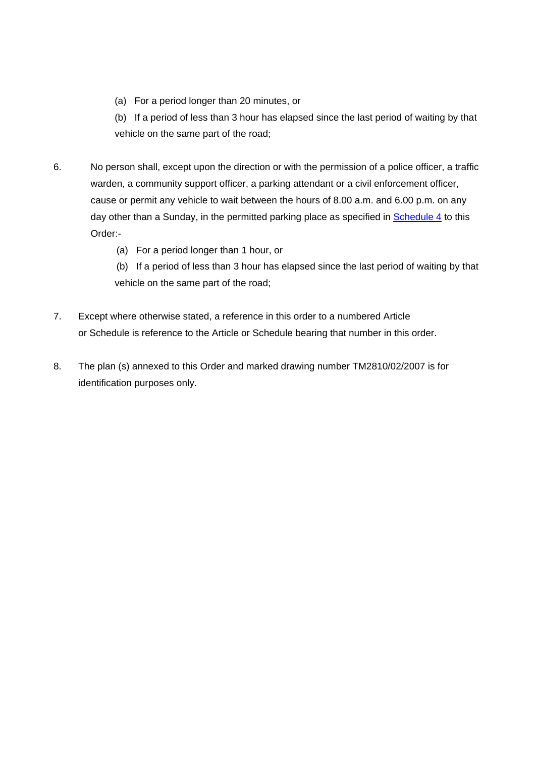(a) For a period longer than 20 minutes, or

 (b) If a period of less than 3 hour has elapsed since the last period of waiting by that vehicle on the same part of the road;

- 6. No person shall, except upon the direction or with the permission of a police officer, a traffic warden, a community support officer, a parking attendant or a civil enforcement officer, cause or permit any vehicle to wait between the hours of 8.00 a.m. and 6.00 p.m. on any day other than a Sunday, in the permitted parking place as specified in Schedule 4 to this Order:-
	- (a) For a period longer than 1 hour, or

 (b) If a period of less than 3 hour has elapsed since the last period of waiting by that vehicle on the same part of the road;

- 7. Except where otherwise stated, a reference in this order to a numbered Article or Schedule is reference to the Article or Schedule bearing that number in this order.
- 8. The plan (s) annexed to this Order and marked drawing number TM2810/02/2007 is for identification purposes only.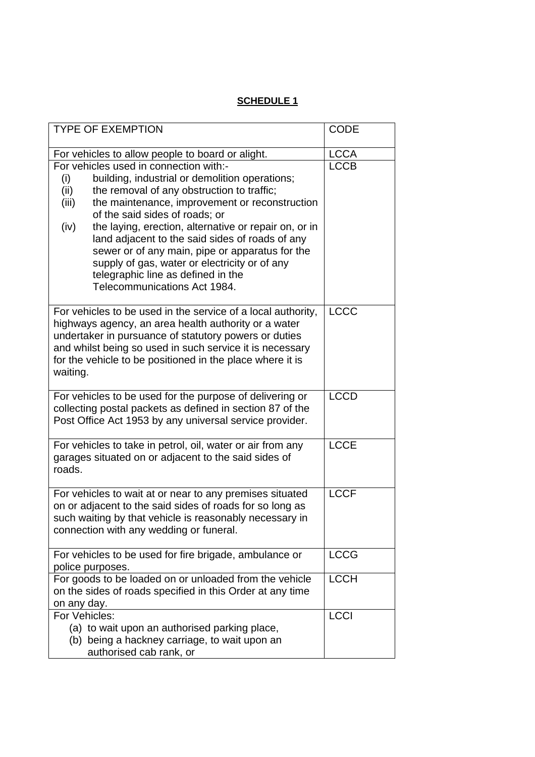# **SCHEDULE 1**

| <b>TYPE OF EXEMPTION</b>                                                                                                                                                                                                                                                                                                                                                                                                                                                                                                                         | <b>CODE</b> |
|--------------------------------------------------------------------------------------------------------------------------------------------------------------------------------------------------------------------------------------------------------------------------------------------------------------------------------------------------------------------------------------------------------------------------------------------------------------------------------------------------------------------------------------------------|-------------|
| For vehicles to allow people to board or alight.                                                                                                                                                                                                                                                                                                                                                                                                                                                                                                 | <b>LCCA</b> |
| For vehicles used in connection with:-<br>building, industrial or demolition operations;<br>(i)<br>the removal of any obstruction to traffic;<br>(ii)<br>the maintenance, improvement or reconstruction<br>(iii)<br>of the said sides of roads; or<br>the laying, erection, alternative or repair on, or in<br>(iv)<br>land adjacent to the said sides of roads of any<br>sewer or of any main, pipe or apparatus for the<br>supply of gas, water or electricity or of any<br>telegraphic line as defined in the<br>Telecommunications Act 1984. | <b>LCCB</b> |
| For vehicles to be used in the service of a local authority,<br>highways agency, an area health authority or a water<br>undertaker in pursuance of statutory powers or duties<br>and whilst being so used in such service it is necessary<br>for the vehicle to be positioned in the place where it is<br>waiting.                                                                                                                                                                                                                               | <b>LCCC</b> |
| For vehicles to be used for the purpose of delivering or<br>collecting postal packets as defined in section 87 of the<br>Post Office Act 1953 by any universal service provider.                                                                                                                                                                                                                                                                                                                                                                 | <b>LCCD</b> |
| For vehicles to take in petrol, oil, water or air from any<br>garages situated on or adjacent to the said sides of<br>roads.                                                                                                                                                                                                                                                                                                                                                                                                                     | <b>LCCE</b> |
| For vehicles to wait at or near to any premises situated<br>on or adjacent to the said sides of roads for so long as<br>such waiting by that vehicle is reasonably necessary in<br>connection with any wedding or funeral.                                                                                                                                                                                                                                                                                                                       | <b>LCCF</b> |
| For vehicles to be used for fire brigade, ambulance or<br>police purposes.                                                                                                                                                                                                                                                                                                                                                                                                                                                                       | <b>LCCG</b> |
| For goods to be loaded on or unloaded from the vehicle<br>on the sides of roads specified in this Order at any time<br>on any day.                                                                                                                                                                                                                                                                                                                                                                                                               | <b>LCCH</b> |
| For Vehicles:<br>(a) to wait upon an authorised parking place,<br>(b) being a hackney carriage, to wait upon an<br>authorised cab rank, or                                                                                                                                                                                                                                                                                                                                                                                                       | <b>LCCI</b> |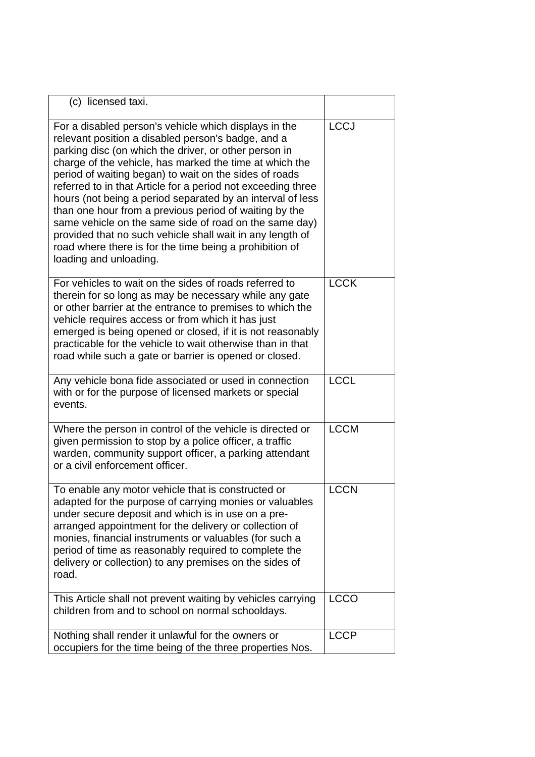| (c) licensed taxi.                                                                                                                                                                                                                                                                                                                                                                                                                                                                                                                                                                                                                                                                            |             |
|-----------------------------------------------------------------------------------------------------------------------------------------------------------------------------------------------------------------------------------------------------------------------------------------------------------------------------------------------------------------------------------------------------------------------------------------------------------------------------------------------------------------------------------------------------------------------------------------------------------------------------------------------------------------------------------------------|-------------|
| For a disabled person's vehicle which displays in the<br>relevant position a disabled person's badge, and a<br>parking disc (on which the driver, or other person in<br>charge of the vehicle, has marked the time at which the<br>period of waiting began) to wait on the sides of roads<br>referred to in that Article for a period not exceeding three<br>hours (not being a period separated by an interval of less<br>than one hour from a previous period of waiting by the<br>same vehicle on the same side of road on the same day)<br>provided that no such vehicle shall wait in any length of<br>road where there is for the time being a prohibition of<br>loading and unloading. | <b>LCCJ</b> |
| For vehicles to wait on the sides of roads referred to<br>therein for so long as may be necessary while any gate<br>or other barrier at the entrance to premises to which the<br>vehicle requires access or from which it has just<br>emerged is being opened or closed, if it is not reasonably<br>practicable for the vehicle to wait otherwise than in that<br>road while such a gate or barrier is opened or closed.                                                                                                                                                                                                                                                                      | <b>LCCK</b> |
| Any vehicle bona fide associated or used in connection<br>with or for the purpose of licensed markets or special<br>events.                                                                                                                                                                                                                                                                                                                                                                                                                                                                                                                                                                   | <b>LCCL</b> |
| Where the person in control of the vehicle is directed or<br>given permission to stop by a police officer, a traffic<br>warden, community support officer, a parking attendant<br>or a civil enforcement officer.                                                                                                                                                                                                                                                                                                                                                                                                                                                                             | <b>LCCM</b> |
| To enable any motor vehicle that is constructed or<br>adapted for the purpose of carrying monies or valuables<br>under secure deposit and which is in use on a pre-<br>arranged appointment for the delivery or collection of<br>monies, financial instruments or valuables (for such a<br>period of time as reasonably required to complete the<br>delivery or collection) to any premises on the sides of<br>road.                                                                                                                                                                                                                                                                          | <b>LCCN</b> |
| This Article shall not prevent waiting by vehicles carrying<br>children from and to school on normal schooldays.                                                                                                                                                                                                                                                                                                                                                                                                                                                                                                                                                                              | <b>LCCO</b> |
| Nothing shall render it unlawful for the owners or<br>occupiers for the time being of the three properties Nos.                                                                                                                                                                                                                                                                                                                                                                                                                                                                                                                                                                               | <b>LCCP</b> |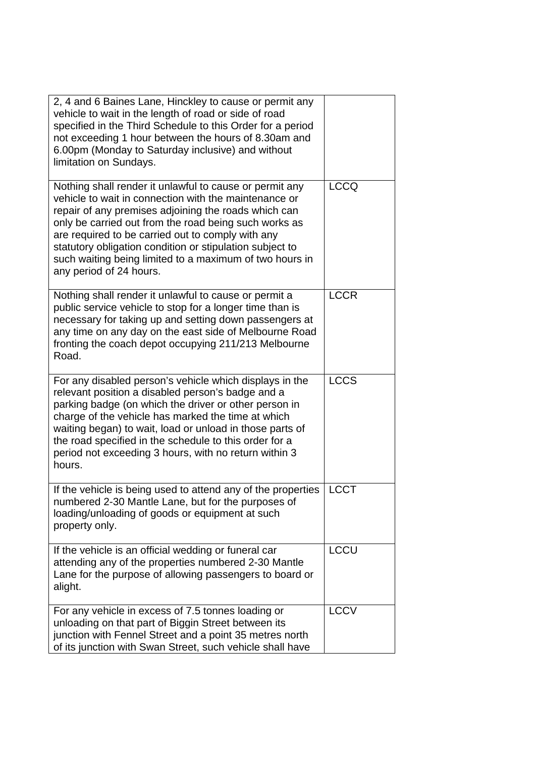| 2, 4 and 6 Baines Lane, Hinckley to cause or permit any<br>vehicle to wait in the length of road or side of road<br>specified in the Third Schedule to this Order for a period<br>not exceeding 1 hour between the hours of 8.30am and<br>6.00pm (Monday to Saturday inclusive) and without<br>limitation on Sundays.                                                                                                                    |             |
|------------------------------------------------------------------------------------------------------------------------------------------------------------------------------------------------------------------------------------------------------------------------------------------------------------------------------------------------------------------------------------------------------------------------------------------|-------------|
| Nothing shall render it unlawful to cause or permit any<br>vehicle to wait in connection with the maintenance or<br>repair of any premises adjoining the roads which can<br>only be carried out from the road being such works as<br>are required to be carried out to comply with any<br>statutory obligation condition or stipulation subject to<br>such waiting being limited to a maximum of two hours in<br>any period of 24 hours. | <b>LCCQ</b> |
| Nothing shall render it unlawful to cause or permit a<br>public service vehicle to stop for a longer time than is<br>necessary for taking up and setting down passengers at<br>any time on any day on the east side of Melbourne Road<br>fronting the coach depot occupying 211/213 Melbourne<br>Road.                                                                                                                                   | <b>LCCR</b> |
| For any disabled person's vehicle which displays in the<br>relevant position a disabled person's badge and a<br>parking badge (on which the driver or other person in<br>charge of the vehicle has marked the time at which<br>waiting began) to wait, load or unload in those parts of<br>the road specified in the schedule to this order for a<br>period not exceeding 3 hours, with no return within 3<br>hours.                     | <b>LCCS</b> |
| If the vehicle is being used to attend any of the properties<br>numbered 2-30 Mantle Lane, but for the purposes of<br>loading/unloading of goods or equipment at such<br>property only.                                                                                                                                                                                                                                                  | <b>LCCT</b> |
| If the vehicle is an official wedding or funeral car<br>attending any of the properties numbered 2-30 Mantle<br>Lane for the purpose of allowing passengers to board or<br>alight.                                                                                                                                                                                                                                                       | <b>LCCU</b> |
| For any vehicle in excess of 7.5 tonnes loading or<br>unloading on that part of Biggin Street between its<br>junction with Fennel Street and a point 35 metres north<br>of its junction with Swan Street, such vehicle shall have                                                                                                                                                                                                        | <b>LCCV</b> |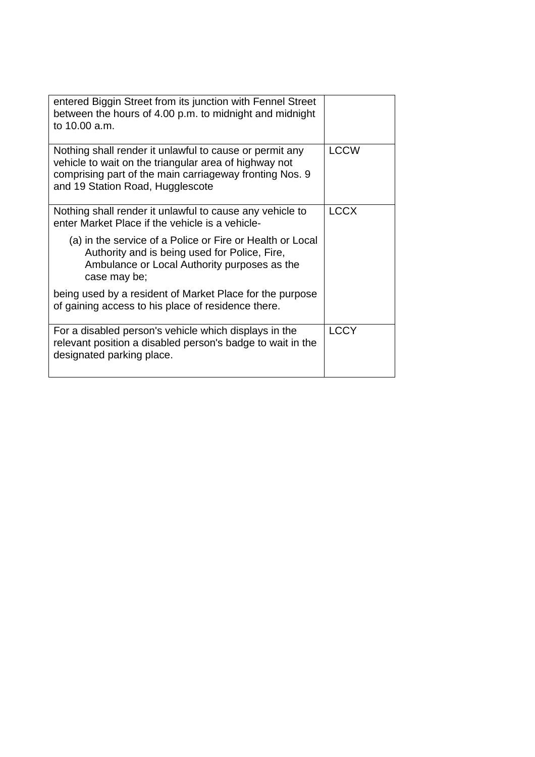| entered Biggin Street from its junction with Fennel Street<br>between the hours of 4.00 p.m. to midnight and midnight<br>to 10.00 a.m.                                                                          |             |
|-----------------------------------------------------------------------------------------------------------------------------------------------------------------------------------------------------------------|-------------|
| Nothing shall render it unlawful to cause or permit any<br>vehicle to wait on the triangular area of highway not<br>comprising part of the main carriageway fronting Nos. 9<br>and 19 Station Road, Hugglescote | <b>LCCW</b> |
| Nothing shall render it unlawful to cause any vehicle to<br>enter Market Place if the vehicle is a vehicle-                                                                                                     | <b>LCCX</b> |
| (a) in the service of a Police or Fire or Health or Local<br>Authority and is being used for Police, Fire,<br>Ambulance or Local Authority purposes as the<br>case may be;                                      |             |
| being used by a resident of Market Place for the purpose<br>of gaining access to his place of residence there.                                                                                                  |             |
| For a disabled person's vehicle which displays in the<br>relevant position a disabled person's badge to wait in the<br>designated parking place.                                                                | <b>LCCY</b> |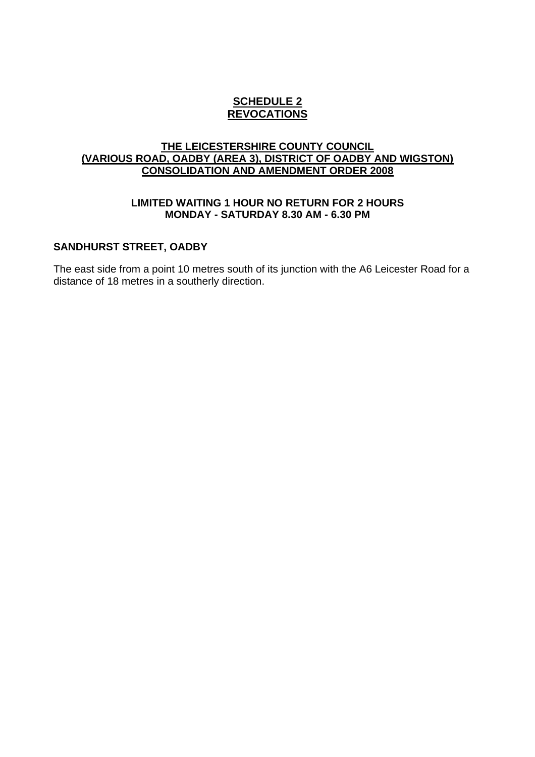### **SCHEDULE 2 REVOCATIONS**

#### **THE LEICESTERSHIRE COUNTY COUNCIL (VARIOUS ROAD, OADBY (AREA 3), DISTRICT OF OADBY AND WIGSTON) CONSOLIDATION AND AMENDMENT ORDER 2008**

#### **LIMITED WAITING 1 HOUR NO RETURN FOR 2 HOURS MONDAY - SATURDAY 8.30 AM - 6.30 PM**

#### **SANDHURST STREET, OADBY**

The east side from a point 10 metres south of its junction with the A6 Leicester Road for a distance of 18 metres in a southerly direction.